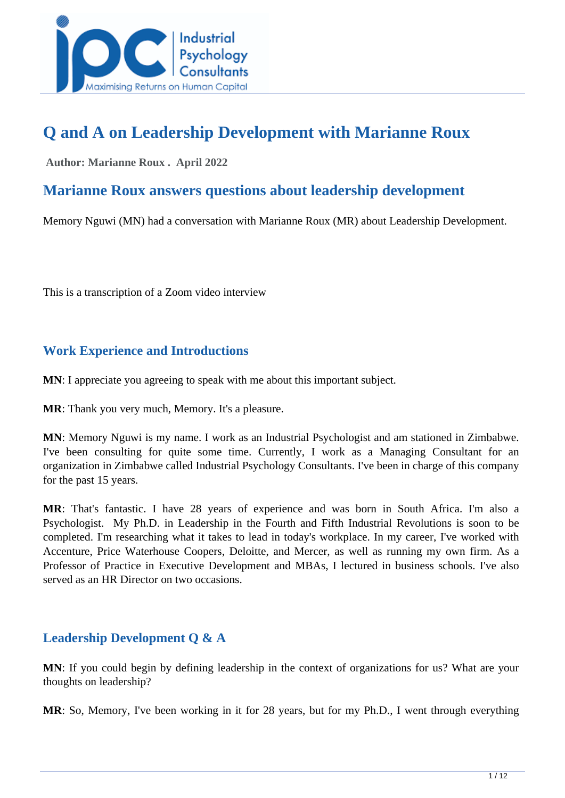

## **Q and A on Leadership Development with Marianne Roux**

 **Author: Marianne Roux . April 2022** 

## **Marianne Roux answers questions about leadership development**

Memory Nguwi (MN) had a conversation with Marianne Roux (MR) about Leadership Development.

This is a transcription of a Zoom video interview

## **Work Experience and Introductions**

**MN**: I appreciate you agreeing to speak with me about this important subject.

**MR**: Thank you very much, Memory. It's a pleasure.

**MN**: Memory Nguwi is my name. I work as an Industrial Psychologist and am stationed in Zimbabwe. I've been consulting for quite some time. Currently, I work as a Managing Consultant for an organization in Zimbabwe called Industrial Psychology Consultants. I've been in charge of this company for the past 15 years.

**MR**: That's fantastic. I have 28 years of experience and was born in South Africa. I'm also a Psychologist. My Ph.D. in Leadership in the Fourth and Fifth Industrial Revolutions is soon to be completed. I'm researching what it takes to lead in today's workplace. In my career, I've worked with Accenture, Price Waterhouse Coopers, Deloitte, and Mercer, as well as running my own firm. As a Professor of Practice in Executive Development and MBAs, I lectured in business schools. I've also served as an HR Director on two occasions.

## **Leadership Development Q & A**

**MN**: If you could begin by defining leadership in the context of organizations for us? What are your thoughts on leadership?

**MR**: So, Memory, I've been working in it for 28 years, but for my Ph.D., I went through everything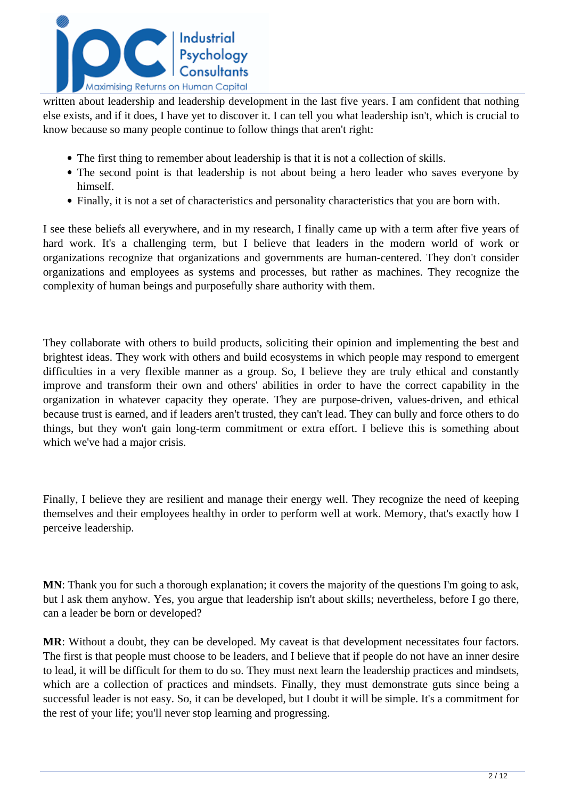

written about leadership and leadership development in the last five years. I am confident that nothing else exists, and if it does, I have yet to discover it. I can tell you what leadership isn't, which is crucial to know because so many people continue to follow things that aren't right:

- The first thing to remember about leadership is that it is not a collection of skills.
- The second point is that leadership is not about being a hero leader who saves everyone by himself.
- Finally, it is not a set of characteristics and personality characteristics that you are born with.

I see these beliefs all everywhere, and in my research, I finally came up with a term after five years of hard work. It's a challenging term, but I believe that leaders in the modern world of work or organizations recognize that organizations and governments are human-centered. They don't consider organizations and employees as systems and processes, but rather as machines. They recognize the complexity of human beings and purposefully share authority with them.

They collaborate with others to build products, soliciting their opinion and implementing the best and brightest ideas. They work with others and build ecosystems in which people may respond to emergent difficulties in a very flexible manner as a group. So, I believe they are truly ethical and constantly improve and transform their own and others' abilities in order to have the correct capability in the organization in whatever capacity they operate. They are purpose-driven, values-driven, and ethical because trust is earned, and if leaders aren't trusted, they can't lead. They can bully and force others to do things, but they won't gain long-term commitment or extra effort. I believe this is something about which we've had a major crisis.

Finally, I believe they are resilient and manage their energy well. They recognize the need of keeping themselves and their employees healthy in order to perform well at work. Memory, that's exactly how I perceive leadership.

**MN**: Thank you for such a thorough explanation; it covers the majority of the questions I'm going to ask, but l ask them anyhow. Yes, you argue that leadership isn't about skills; nevertheless, before I go there, can a leader be born or developed?

**MR**: Without a doubt, they can be developed. My caveat is that development necessitates four factors. The first is that people must choose to be leaders, and I believe that if people do not have an inner desire to lead, it will be difficult for them to do so. They must next learn the leadership practices and mindsets, which are a collection of practices and mindsets. Finally, they must demonstrate guts since being a successful leader is not easy. So, it can be developed, but I doubt it will be simple. It's a commitment for the rest of your life; you'll never stop learning and progressing.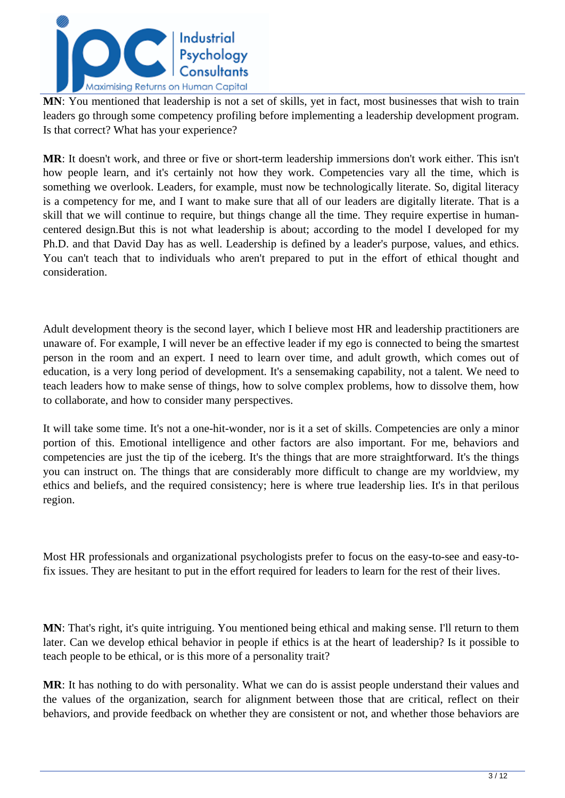

**MN**: You mentioned that leadership is not a set of skills, yet in fact, most businesses that wish to train leaders go through some competency profiling before implementing a leadership development program. Is that correct? What has your experience?

**MR**: It doesn't work, and three or five or short-term leadership immersions don't work either. This isn't how people learn, and it's certainly not how they work. Competencies vary all the time, which is something we overlook. Leaders, for example, must now be technologically literate. So, digital literacy is a competency for me, and I want to make sure that all of our leaders are digitally literate. That is a skill that we will continue to require, but things change all the time. They require expertise in humancentered design.But this is not what leadership is about; according to the model I developed for my Ph.D. and that David Day has as well. Leadership is defined by a leader's purpose, values, and ethics. You can't teach that to individuals who aren't prepared to put in the effort of ethical thought and consideration.

Adult development theory is the second layer, which I believe most HR and leadership practitioners are unaware of. For example, I will never be an effective leader if my ego is connected to being the smartest person in the room and an expert. I need to learn over time, and adult growth, which comes out of education, is a very long period of development. It's a sensemaking capability, not a talent. We need to teach leaders how to make sense of things, how to solve complex problems, how to dissolve them, how to collaborate, and how to consider many perspectives.

It will take some time. It's not a one-hit-wonder, nor is it a set of skills. Competencies are only a minor portion of this. Emotional intelligence and other factors are also important. For me, behaviors and competencies are just the tip of the iceberg. It's the things that are more straightforward. It's the things you can instruct on. The things that are considerably more difficult to change are my worldview, my ethics and beliefs, and the required consistency; here is where true leadership lies. It's in that perilous region.

Most HR professionals and organizational psychologists prefer to focus on the easy-to-see and easy-tofix issues. They are hesitant to put in the effort required for leaders to learn for the rest of their lives.

**MN**: That's right, it's quite intriguing. You mentioned being ethical and making sense. I'll return to them later. Can we develop ethical behavior in people if ethics is at the heart of leadership? Is it possible to teach people to be ethical, or is this more of a personality trait?

**MR**: It has nothing to do with personality. What we can do is assist people understand their values and the values of the organization, search for alignment between those that are critical, reflect on their behaviors, and provide feedback on whether they are consistent or not, and whether those behaviors are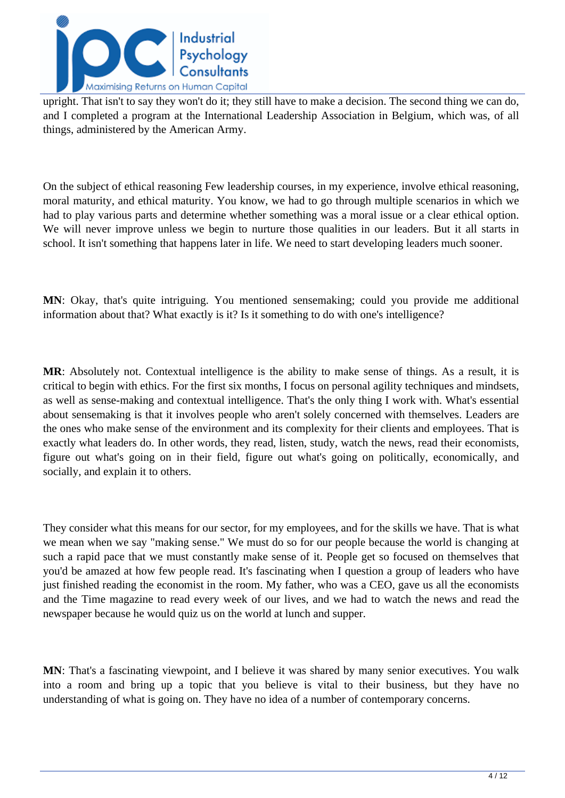

upright. That isn't to say they won't do it; they still have to make a decision. The second thing we can do, and I completed a program at the International Leadership Association in Belgium, which was, of all things, administered by the American Army.

On the subject of ethical reasoning Few leadership courses, in my experience, involve ethical reasoning, moral maturity, and ethical maturity. You know, we had to go through multiple scenarios in which we had to play various parts and determine whether something was a moral issue or a clear ethical option. We will never improve unless we begin to nurture those qualities in our leaders. But it all starts in school. It isn't something that happens later in life. We need to start developing leaders much sooner.

**MN**: Okay, that's quite intriguing. You mentioned sensemaking; could you provide me additional information about that? What exactly is it? Is it something to do with one's intelligence?

**MR**: Absolutely not. Contextual intelligence is the ability to make sense of things. As a result, it is critical to begin with ethics. For the first six months, I focus on personal agility techniques and mindsets, as well as sense-making and contextual intelligence. That's the only thing I work with. What's essential about sensemaking is that it involves people who aren't solely concerned with themselves. Leaders are the ones who make sense of the environment and its complexity for their clients and employees. That is exactly what leaders do. In other words, they read, listen, study, watch the news, read their economists, figure out what's going on in their field, figure out what's going on politically, economically, and socially, and explain it to others.

They consider what this means for our sector, for my employees, and for the skills we have. That is what we mean when we say "making sense." We must do so for our people because the world is changing at such a rapid pace that we must constantly make sense of it. People get so focused on themselves that you'd be amazed at how few people read. It's fascinating when I question a group of leaders who have just finished reading the economist in the room. My father, who was a CEO, gave us all the economists and the Time magazine to read every week of our lives, and we had to watch the news and read the newspaper because he would quiz us on the world at lunch and supper.

**MN**: That's a fascinating viewpoint, and I believe it was shared by many senior executives. You walk into a room and bring up a topic that you believe is vital to their business, but they have no understanding of what is going on. They have no idea of a number of contemporary concerns.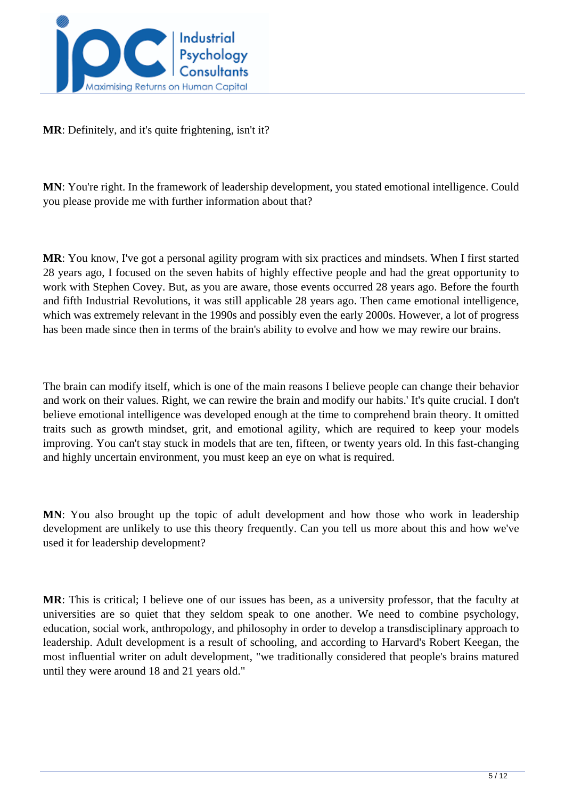

**MR**: Definitely, and it's quite frightening, isn't it?

**MN**: You're right. In the framework of leadership development, you stated emotional intelligence. Could you please provide me with further information about that?

**MR**: You know, I've got a personal agility program with six practices and mindsets. When I first started 28 years ago, I focused on the seven habits of highly effective people and had the great opportunity to work with Stephen Covey. But, as you are aware, those events occurred 28 years ago. Before the fourth and fifth Industrial Revolutions, it was still applicable 28 years ago. Then came emotional intelligence, which was extremely relevant in the 1990s and possibly even the early 2000s. However, a lot of progress has been made since then in terms of the brain's ability to evolve and how we may rewire our brains.

The brain can modify itself, which is one of the main reasons I believe people can change their behavior and work on their values. Right, we can rewire the brain and modify our habits.' It's quite crucial. I don't believe emotional intelligence was developed enough at the time to comprehend brain theory. It omitted traits such as growth mindset, grit, and emotional agility, which are required to keep your models improving. You can't stay stuck in models that are ten, fifteen, or twenty years old. In this fast-changing and highly uncertain environment, you must keep an eye on what is required.

**MN**: You also brought up the topic of adult development and how those who work in leadership development are unlikely to use this theory frequently. Can you tell us more about this and how we've used it for leadership development?

**MR**: This is critical; I believe one of our issues has been, as a university professor, that the faculty at universities are so quiet that they seldom speak to one another. We need to combine psychology, education, social work, anthropology, and philosophy in order to develop a transdisciplinary approach to leadership. Adult development is a result of schooling, and according to Harvard's Robert Keegan, the most influential writer on adult development, "we traditionally considered that people's brains matured until they were around 18 and 21 years old."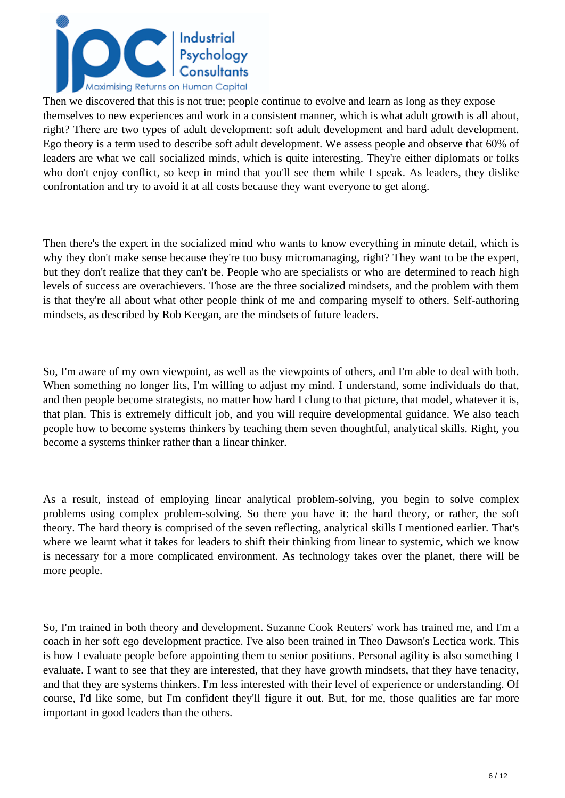

Then we discovered that this is not true; people continue to evolve and learn as long as they expose themselves to new experiences and work in a consistent manner, which is what adult growth is all about, right? There are two types of adult development: soft adult development and hard adult development. Ego theory is a term used to describe soft adult development. We assess people and observe that 60% of leaders are what we call socialized minds, which is quite interesting. They're either diplomats or folks who don't enjoy conflict, so keep in mind that you'll see them while I speak. As leaders, they dislike confrontation and try to avoid it at all costs because they want everyone to get along.

Then there's the expert in the socialized mind who wants to know everything in minute detail, which is why they don't make sense because they're too busy micromanaging, right? They want to be the expert, but they don't realize that they can't be. People who are specialists or who are determined to reach high levels of success are overachievers. Those are the three socialized mindsets, and the problem with them is that they're all about what other people think of me and comparing myself to others. Self-authoring mindsets, as described by Rob Keegan, are the mindsets of future leaders.

So, I'm aware of my own viewpoint, as well as the viewpoints of others, and I'm able to deal with both. When something no longer fits, I'm willing to adjust my mind. I understand, some individuals do that, and then people become strategists, no matter how hard I clung to that picture, that model, whatever it is, that plan. This is extremely difficult job, and you will require developmental guidance. We also teach people how to become systems thinkers by teaching them seven thoughtful, analytical skills. Right, you become a systems thinker rather than a linear thinker.

As a result, instead of employing linear analytical problem-solving, you begin to solve complex problems using complex problem-solving. So there you have it: the hard theory, or rather, the soft theory. The hard theory is comprised of the seven reflecting, analytical skills I mentioned earlier. That's where we learnt what it takes for leaders to shift their thinking from linear to systemic, which we know is necessary for a more complicated environment. As technology takes over the planet, there will be more people.

So, I'm trained in both theory and development. Suzanne Cook Reuters' work has trained me, and I'm a coach in her soft ego development practice. I've also been trained in Theo Dawson's Lectica work. This is how I evaluate people before appointing them to senior positions. Personal agility is also something I evaluate. I want to see that they are interested, that they have growth mindsets, that they have tenacity, and that they are systems thinkers. I'm less interested with their level of experience or understanding. Of course, I'd like some, but I'm confident they'll figure it out. But, for me, those qualities are far more important in good leaders than the others.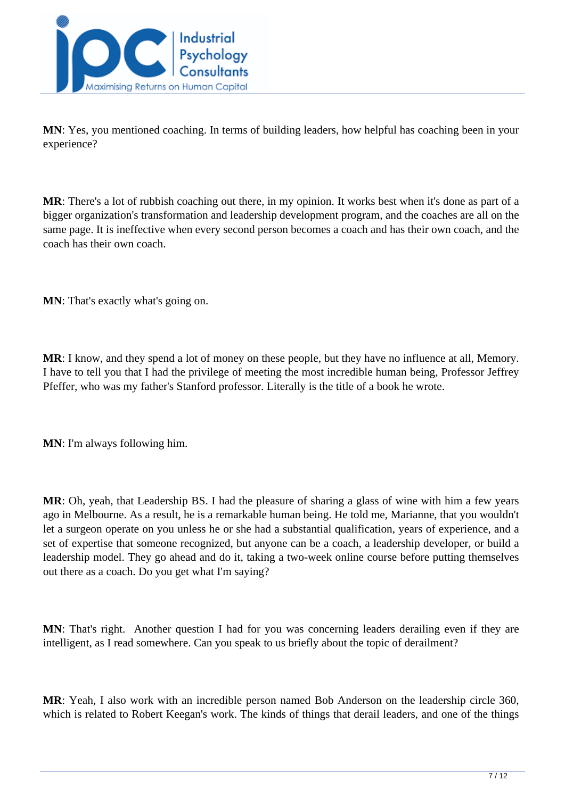

**MN**: Yes, you mentioned coaching. In terms of building leaders, how helpful has coaching been in your experience?

**MR**: There's a lot of rubbish coaching out there, in my opinion. It works best when it's done as part of a bigger organization's transformation and leadership development program, and the coaches are all on the same page. It is ineffective when every second person becomes a coach and has their own coach, and the coach has their own coach.

**MN**: That's exactly what's going on.

**MR**: I know, and they spend a lot of money on these people, but they have no influence at all, Memory. I have to tell you that I had the privilege of meeting the most incredible human being, Professor Jeffrey Pfeffer, who was my father's Stanford professor. Literally is the title of a book he wrote.

**MN**: I'm always following him.

**MR**: Oh, yeah, that Leadership BS. I had the pleasure of sharing a glass of wine with him a few years ago in Melbourne. As a result, he is a remarkable human being. He told me, Marianne, that you wouldn't let a surgeon operate on you unless he or she had a substantial qualification, years of experience, and a set of expertise that someone recognized, but anyone can be a coach, a leadership developer, or build a leadership model. They go ahead and do it, taking a two-week online course before putting themselves out there as a coach. Do you get what I'm saying?

**MN**: That's right. Another question I had for you was concerning leaders derailing even if they are intelligent, as I read somewhere. Can you speak to us briefly about the topic of derailment?

**MR**: Yeah, I also work with an incredible person named Bob Anderson on the leadership circle 360, which is related to Robert Keegan's work. The kinds of things that derail leaders, and one of the things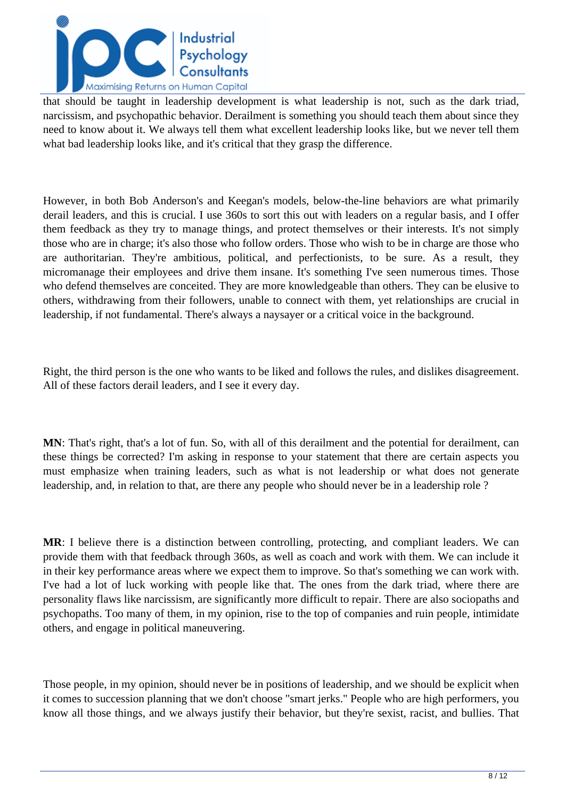

that should be taught in leadership development is what leadership is not, such as the dark triad, narcissism, and psychopathic behavior. Derailment is something you should teach them about since they need to know about it. We always tell them what excellent leadership looks like, but we never tell them what bad leadership looks like, and it's critical that they grasp the difference.

However, in both Bob Anderson's and Keegan's models, below-the-line behaviors are what primarily derail leaders, and this is crucial. I use 360s to sort this out with leaders on a regular basis, and I offer them feedback as they try to manage things, and protect themselves or their interests. It's not simply those who are in charge; it's also those who follow orders. Those who wish to be in charge are those who are authoritarian. They're ambitious, political, and perfectionists, to be sure. As a result, they micromanage their employees and drive them insane. It's something I've seen numerous times. Those who defend themselves are conceited. They are more knowledgeable than others. They can be elusive to others, withdrawing from their followers, unable to connect with them, yet relationships are crucial in leadership, if not fundamental. There's always a naysayer or a critical voice in the background.

Right, the third person is the one who wants to be liked and follows the rules, and dislikes disagreement. All of these factors derail leaders, and I see it every day.

**MN**: That's right, that's a lot of fun. So, with all of this derailment and the potential for derailment, can these things be corrected? I'm asking in response to your statement that there are certain aspects you must emphasize when training leaders, such as what is not leadership or what does not generate leadership, and, in relation to that, are there any people who should never be in a leadership role ?

**MR**: I believe there is a distinction between controlling, protecting, and compliant leaders. We can provide them with that feedback through 360s, as well as coach and work with them. We can include it in their key performance areas where we expect them to improve. So that's something we can work with. I've had a lot of luck working with people like that. The ones from the dark triad, where there are personality flaws like narcissism, are significantly more difficult to repair. There are also sociopaths and psychopaths. Too many of them, in my opinion, rise to the top of companies and ruin people, intimidate others, and engage in political maneuvering.

Those people, in my opinion, should never be in positions of leadership, and we should be explicit when it comes to succession planning that we don't choose "smart jerks." People who are high performers, you know all those things, and we always justify their behavior, but they're sexist, racist, and bullies. That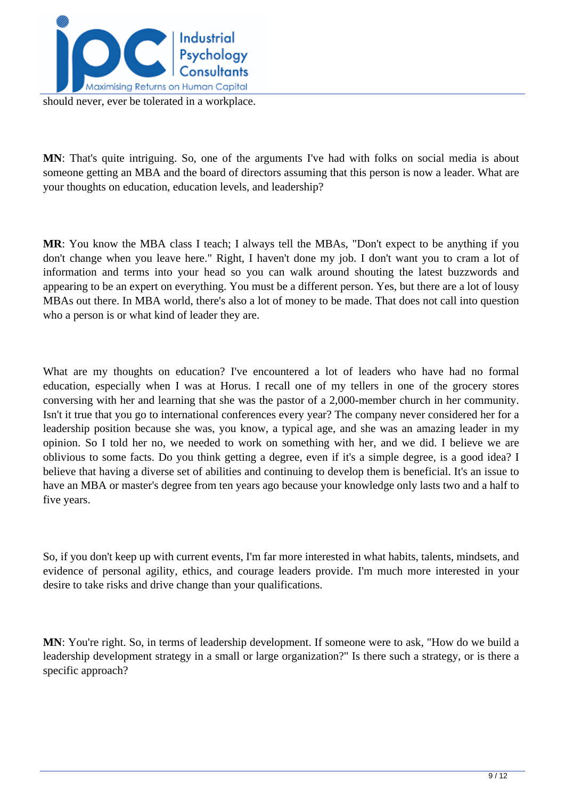

should never, ever be tolerated in a workplace.

**MN**: That's quite intriguing. So, one of the arguments I've had with folks on social media is about someone getting an MBA and the board of directors assuming that this person is now a leader. What are your thoughts on education, education levels, and leadership?

**MR**: You know the MBA class I teach; I always tell the MBAs, "Don't expect to be anything if you don't change when you leave here." Right, I haven't done my job. I don't want you to cram a lot of information and terms into your head so you can walk around shouting the latest buzzwords and appearing to be an expert on everything. You must be a different person. Yes, but there are a lot of lousy MBAs out there. In MBA world, there's also a lot of money to be made. That does not call into question who a person is or what kind of leader they are.

What are my thoughts on education? I've encountered a lot of leaders who have had no formal education, especially when I was at Horus. I recall one of my tellers in one of the grocery stores conversing with her and learning that she was the pastor of a 2,000-member church in her community. Isn't it true that you go to international conferences every year? The company never considered her for a leadership position because she was, you know, a typical age, and she was an amazing leader in my opinion. So I told her no, we needed to work on something with her, and we did. I believe we are oblivious to some facts. Do you think getting a degree, even if it's a simple degree, is a good idea? I believe that having a diverse set of abilities and continuing to develop them is beneficial. It's an issue to have an MBA or master's degree from ten years ago because your knowledge only lasts two and a half to five years.

So, if you don't keep up with current events, I'm far more interested in what habits, talents, mindsets, and evidence of personal agility, ethics, and courage leaders provide. I'm much more interested in your desire to take risks and drive change than your qualifications.

**MN**: You're right. So, in terms of leadership development. If someone were to ask, "How do we build a leadership development strategy in a small or large organization?" Is there such a strategy, or is there a specific approach?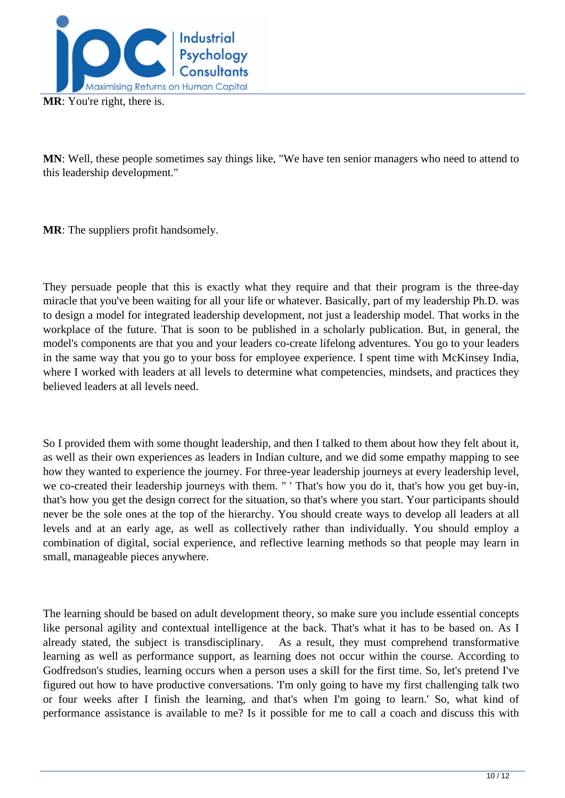

**MN**: Well, these people sometimes say things like, "We have ten senior managers who need to attend to this leadership development."

**MR**: The suppliers profit handsomely.

They persuade people that this is exactly what they require and that their program is the three-day miracle that you've been waiting for all your life or whatever. Basically, part of my leadership Ph.D. was to design a model for integrated leadership development, not just a leadership model. That works in the workplace of the future. That is soon to be published in a scholarly publication. But, in general, the model's components are that you and your leaders co-create lifelong adventures. You go to your leaders in the same way that you go to your boss for employee experience. I spent time with McKinsey India, where I worked with leaders at all levels to determine what competencies, mindsets, and practices they believed leaders at all levels need.

So I provided them with some thought leadership, and then I talked to them about how they felt about it, as well as their own experiences as leaders in Indian culture, and we did some empathy mapping to see how they wanted to experience the journey. For three-year leadership journeys at every leadership level, we co-created their leadership journeys with them. " ' That's how you do it, that's how you get buy-in, that's how you get the design correct for the situation, so that's where you start. Your participants should never be the sole ones at the top of the hierarchy. You should create ways to develop all leaders at all levels and at an early age, as well as collectively rather than individually. You should employ a combination of digital, social experience, and reflective learning methods so that people may learn in small, manageable pieces anywhere.

The learning should be based on adult development theory, so make sure you include essential concepts like personal agility and contextual intelligence at the back. That's what it has to be based on. As I already stated, the subject is transdisciplinary. As a result, they must comprehend transformative learning as well as performance support, as learning does not occur within the course. According to Godfredson's studies, learning occurs when a person uses a skill for the first time. So, let's pretend I've figured out how to have productive conversations. 'I'm only going to have my first challenging talk two or four weeks after I finish the learning, and that's when I'm going to learn.' So, what kind of performance assistance is available to me? Is it possible for me to call a coach and discuss this with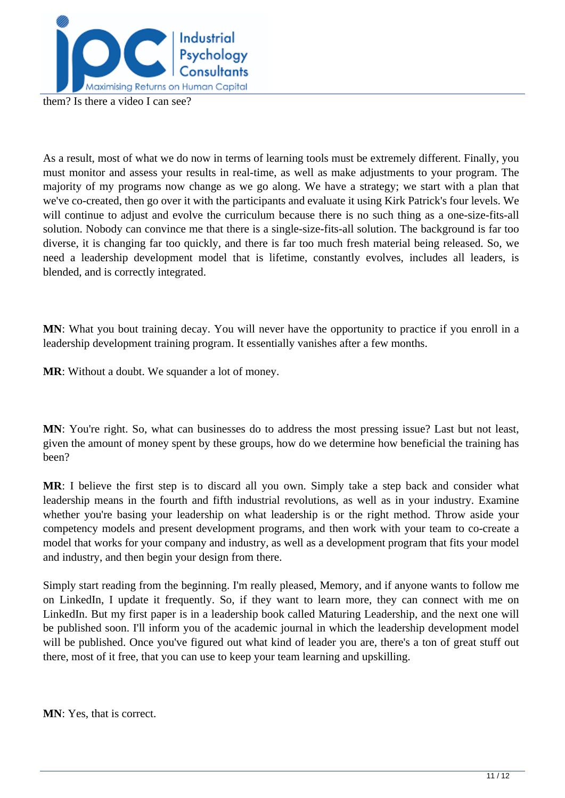

them? Is there a video I can see?

As a result, most of what we do now in terms of learning tools must be extremely different. Finally, you must monitor and assess your results in real-time, as well as make adjustments to your program. The majority of my programs now change as we go along. We have a strategy; we start with a plan that we've co-created, then go over it with the participants and evaluate it using Kirk Patrick's four levels. We will continue to adjust and evolve the curriculum because there is no such thing as a one-size-fits-all solution. Nobody can convince me that there is a single-size-fits-all solution. The background is far too diverse, it is changing far too quickly, and there is far too much fresh material being released. So, we need a leadership development model that is lifetime, constantly evolves, includes all leaders, is blended, and is correctly integrated.

**MN**: What you bout training decay. You will never have the opportunity to practice if you enroll in a leadership development training program. It essentially vanishes after a few months.

**MR**: Without a doubt. We squander a lot of money.

**MN**: You're right. So, what can businesses do to address the most pressing issue? Last but not least, given the amount of money spent by these groups, how do we determine how beneficial the training has been?

**MR**: I believe the first step is to discard all you own. Simply take a step back and consider what leadership means in the fourth and fifth industrial revolutions, as well as in your industry. Examine whether you're basing your leadership on what leadership is or the right method. Throw aside your competency models and present development programs, and then work with your team to co-create a model that works for your company and industry, as well as a development program that fits your model and industry, and then begin your design from there.

Simply start reading from the beginning. I'm really pleased, Memory, and if anyone wants to follow me on LinkedIn, I update it frequently. So, if they want to learn more, they can connect with me on LinkedIn. But my first paper is in a leadership book called Maturing Leadership, and the next one will be published soon. I'll inform you of the academic journal in which the leadership development model will be published. Once you've figured out what kind of leader you are, there's a ton of great stuff out there, most of it free, that you can use to keep your team learning and upskilling.

**MN**: Yes, that is correct.